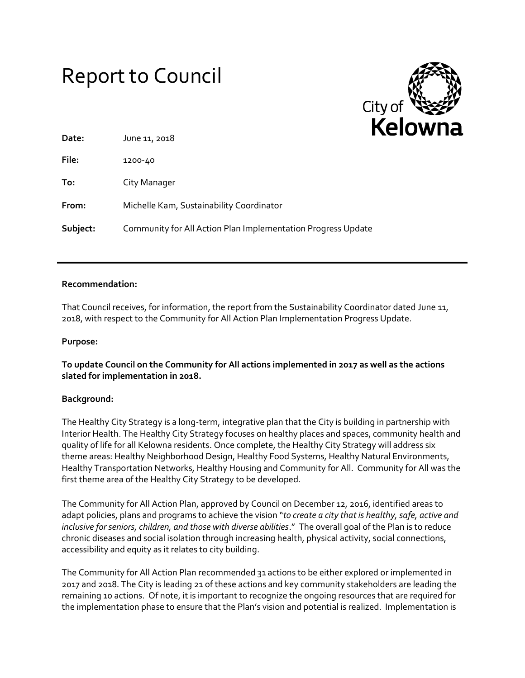# Report to Council



| Date:    | June 11, 2018                                                |
|----------|--------------------------------------------------------------|
| File:    | 1200-40                                                      |
| To:      | City Manager                                                 |
| From:    | Michelle Kam, Sustainability Coordinator                     |
| Subject: | Community for All Action Plan Implementation Progress Update |

### **Recommendation:**

That Council receives, for information, the report from the Sustainability Coordinator dated June 11, 2018, with respect to the Community for All Action Plan Implementation Progress Update.

## **Purpose:**

**To update Council on the Community for All actions implemented in 2017 as well as the actions slated for implementation in 2018.** 

#### **Background:**

The Healthy City Strategy is a long-term, integrative plan that the City is building in partnership with Interior Health. The Healthy City Strategy focuses on healthy places and spaces, community health and quality of life for all Kelowna residents. Once complete, the Healthy City Strategy will address six theme areas: Healthy Neighborhood Design, Healthy Food Systems, Healthy Natural Environments, Healthy Transportation Networks, Healthy Housing and Community for All. Community for All was the first theme area of the Healthy City Strategy to be developed.

The Community for All Action Plan, approved by Council on December 12, 2016, identified areas to adapt policies, plans and programs to achieve the vision "*to create a city that is healthy, safe, active and inclusive for seniors, children, and those with diverse abilities*." The overall goal of the Plan is to reduce chronic diseases and social isolation through increasing health, physical activity, social connections, accessibility and equity as it relates to city building.

The Community for All Action Plan recommended 31 actions to be either explored or implemented in 2017 and 2018. The City is leading 21 of these actions and key community stakeholders are leading the remaining 10 actions. Of note, it is important to recognize the ongoing resources that are required for the implementation phase to ensure that the Plan's vision and potential is realized. Implementation is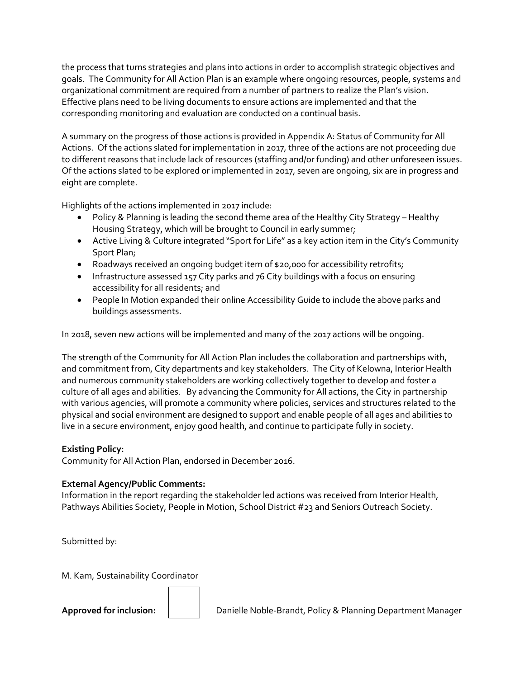the process that turns strategies and plans into actions in order to accomplish strategic objectives and goals. The Community for All Action Plan is an example where ongoing resources, people, systems and organizational commitment are required from a number of partners to realize the Plan's vision. Effective plans need to be living documents to ensure actions are implemented and that the corresponding monitoring and evaluation are conducted on a continual basis.

A summary on the progress of those actions is provided in Appendix A: Status of Community for All Actions. Of the actions slated for implementation in 2017, three of the actions are not proceeding due to different reasons that include lack of resources (staffing and/or funding) and other unforeseen issues. Of the actions slated to be explored or implemented in 2017, seven are ongoing, six are in progress and eight are complete.

Highlights of the actions implemented in 2017 include:

- Policy & Planning is leading the second theme area of the Healthy City Strategy Healthy Housing Strategy, which will be brought to Council in early summer;
- Active Living & Culture integrated "Sport for Life" as a key action item in the City's Community Sport Plan;
- Roadways received an ongoing budget item of \$20,000 for accessibility retrofits;
- Infrastructure assessed 157 City parks and 76 City buildings with a focus on ensuring accessibility for all residents; and
- People In Motion expanded their online Accessibility Guide to include the above parks and buildings assessments.

In 2018, seven new actions will be implemented and many of the 2017 actions will be ongoing.

The strength of the Community for All Action Plan includes the collaboration and partnerships with, and commitment from, City departments and key stakeholders. The City of Kelowna, Interior Health and numerous community stakeholders are working collectively together to develop and foster a culture of all ages and abilities. By advancing the Community for All actions, the City in partnership with various agencies, will promote a community where policies, services and structures related to the physical and social environment are designed to support and enable people of all ages and abilities to live in a secure environment, enjoy good health, and continue to participate fully in society.

# **Existing Policy:**

Community for All Action Plan, endorsed in December 2016.

# **External Agency/Public Comments:**

Information in the report regarding the stakeholder led actions was received from Interior Health, Pathways Abilities Society, People in Motion, School District #23 and Seniors Outreach Society.

Submitted by:

M. Kam, Sustainability Coordinator

**Approved for inclusion:** Danielle Noble-Brandt, Policy & Planning Department Manager